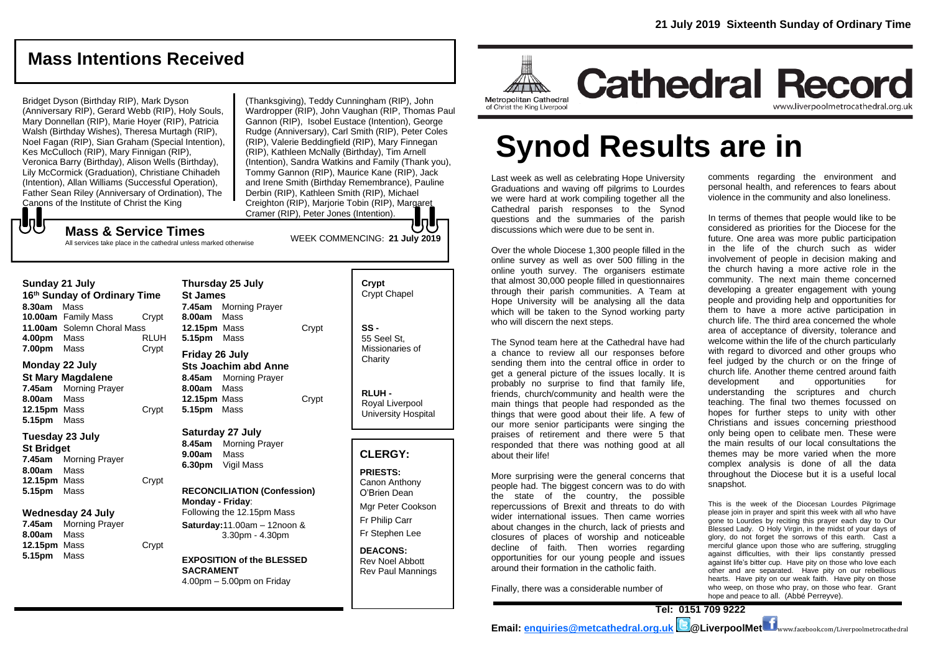## **Mass Intentions Received**

Bridget Dyson (Birthday RIP), Mark Dyson (Anniversary RIP), Gerard Webb (RIP), Holy Souls, Mary Donnellan (RIP), Marie Hoyer (RIP), Patricia Walsh (Birthday Wishes), Theresa Murtagh (RIP), Noel Fagan (RIP), Sian Graham (Special Intention), Kes McCulloch (RIP), Mary Finnigan (RIP), Veronica Barry (Birthday), Alison Wells (Birthday), Lily McCormick (Graduation), Christiane Chihadeh (Intention), Allan Williams (Successful Operation), Father Sean Riley (Anniversary of Ordination), The Canons of the Institute of Christ the King

**Mass & Service Times**

All services take place in the cathedral unless marked otherwise

(Thanksgiving), Teddy Cunningham (RIP), John Wardropper (RIP), John Vaughan (RIP, Thomas Paul Gannon (RIP), Isobel Eustace (Intention), George Rudge (Anniversary), Carl Smith (RIP), Peter Coles (RIP), Valerie Beddingfield (RIP), Mary Finnegan (RIP), Kathleen McNally (Birthday), Tim Arnell (Intention), Sandra Watkins and Family (Thank you), Tommy Gannon (RIP), Maurice Kane (RIP), Jack and Irene Smith (Birthday Remembrance), Pauline Derbin (RIP), Kathleen Smith (RIP), Michael Creighton (RIP), Marjorie Tobin (RIP), Margaret Cramer (RIP), Peter Jones (Intention).

WEEK COMMENCING: **21 July 2019**

もし

**Sunday 21 July 16th Sunday of Ordinary Time 8.30am** Mass **10.00am** Family Mass Crypt **11.00am** Solemn Choral Mass **4.00pm** Mass RLUH **7.00pm** Mass Crypt

#### **Monday 22 July St Mary Magdalene 7.45am** Morning Prayer **8.00am** Mass **12.15pm** Mass Crypt

## **5.15pm** Mass **Tuesday 23 July**

**St Bridget 7.45am** Morning Prayer **8.00am** Mass **12.15pm** Mass Crypt **5.15pm** Mass

#### **Wednesday 24 July**

**7.45am** Morning Prayer **8.00am** Mass **12.15pm** Mass Crypt **5.15pm** Mass

| <b>St James</b><br>8.00am Mass<br>12.15pm Mass<br>5.15pm Mass | Thursday 25 July<br><b>7.45am</b> Morning Prayer             | Crvpt |
|---------------------------------------------------------------|--------------------------------------------------------------|-------|
| Friday 26 July<br>8.00am Mass<br>12.15pm Mass<br>5.15pm       | <b>Sts Joachim abd Anne</b><br>8.45am Morning Prayer<br>Mass | Crvpt |

#### **Saturday 27 July 8.45am** Morning Prayer **9.00am** Mass

**6.30pm** Vigil Mass

#### **RECONCILIATION (Confession) Monday - Friday**: Following the 12.15pm Mass

**Saturday:**11.00am – 12noon & 3.30pm - 4.30pm

#### **EXPOSITION of the BLESSED SACRAMENT** 4.00pm – 5.00pm on Friday

**Crypt**  Crypt Chapel **SS -** 55 Seel St, Missionaries of **Charity** 

**RLUH -** Royal Liverpool University Hospital

## **CLERGY:**

**PRIESTS:** Canon Anthony O'Brien *Dean*

Mgr Peter Cookson Fr Philip Carr Fr Stephen Lee

**DEACONS:** Rev Noel Abbott Rev Paul Mannings



# **Synod Results are in**

Last week as well as celebrating Hope University Graduations and waving off pilgrims to Lourdes we were hard at work compiling together all the Cathedral parish responses to the Synod questions and the summaries of the parish discussions which were due to be sent in.

Over the whole Diocese 1,300 people filled in the online survey as well as over 500 filling in the online youth survey. The organisers estimate that almost 30,000 people filled in questionnaires through their parish communities. A Team at Hope University will be analysing all the data which will be taken to the Synod working party who will discern the next steps.

The Synod team here at the Cathedral have had a chance to review all our responses before sending them into the central office in order to get a general picture of the issues locally. It is probably no surprise to find that family life, friends, church/community and health were the main things that people had responded as the things that were good about their life. A few of our more senior participants were singing the praises of retirement and there were 5 that responded that there was nothing good at all about their life!

More surprising were the general concerns that people had. The biggest concern was to do with the state of the country, the possible repercussions of Brexit and threats to do with wider international issues. Then came worries about changes in the church, lack of priests and closures of places of worship and noticeable decline of faith. Then worries regarding opportunities for our young people and issues around their formation in the catholic faith.

Finally, there was a considerable number of

comments regarding the environment and personal health, and references to fears about violence in the community and also loneliness.

In terms of themes that people would like to be considered as priorities for the Diocese for the future. One area was more public participation in the life of the church such as wider involvement of people in decision making and the church having a more active role in the community. The next main theme concerned developing a greater engagement with young people and providing help and opportunities for them to have a more active participation in church life. The third area concerned the whole area of acceptance of diversity, tolerance and welcome within the life of the church particularly with regard to divorced and other groups who feel judged by the church or on the fringe of church life. Another theme centred around faith development and opportunities for understanding the scriptures and church teaching. The final two themes focussed on hopes for further steps to unity with other Christians and issues concerning priesthood only being open to celibate men. These were the main results of our local consultations the themes may be more varied when the more complex analysis is done of all the data throughout the Diocese but it is a useful local snapshot.

This is the week of the Diocesan Lourdes Pilgrimage please join in prayer and spirit this week with all who have gone to Lourdes by reciting this prayer each day to Our Blessed Lady. O Holy Virgin, in the midst of your days of glory, do not forget the sorrows of this earth. Cast a merciful glance upon those who are suffering, struggling against difficulties, with their lips constantly pressed against life's bitter cup. Have pity on those who love each other and are separated. Have pity on our rebellious hearts. Have pity on our weak faith. Have pity on those who weep, on those who pray, on those who fear. Grant hope and peace to all. *(Abbé Perreyve).*

**Tel: 0151 709 9222 Email: [enquiries@metcathedral.org.uk](mailto:enquiries@metcathedral.org.uk) @LiverpoolMet** www.facebook.com/Liverpoolmetrocathedral